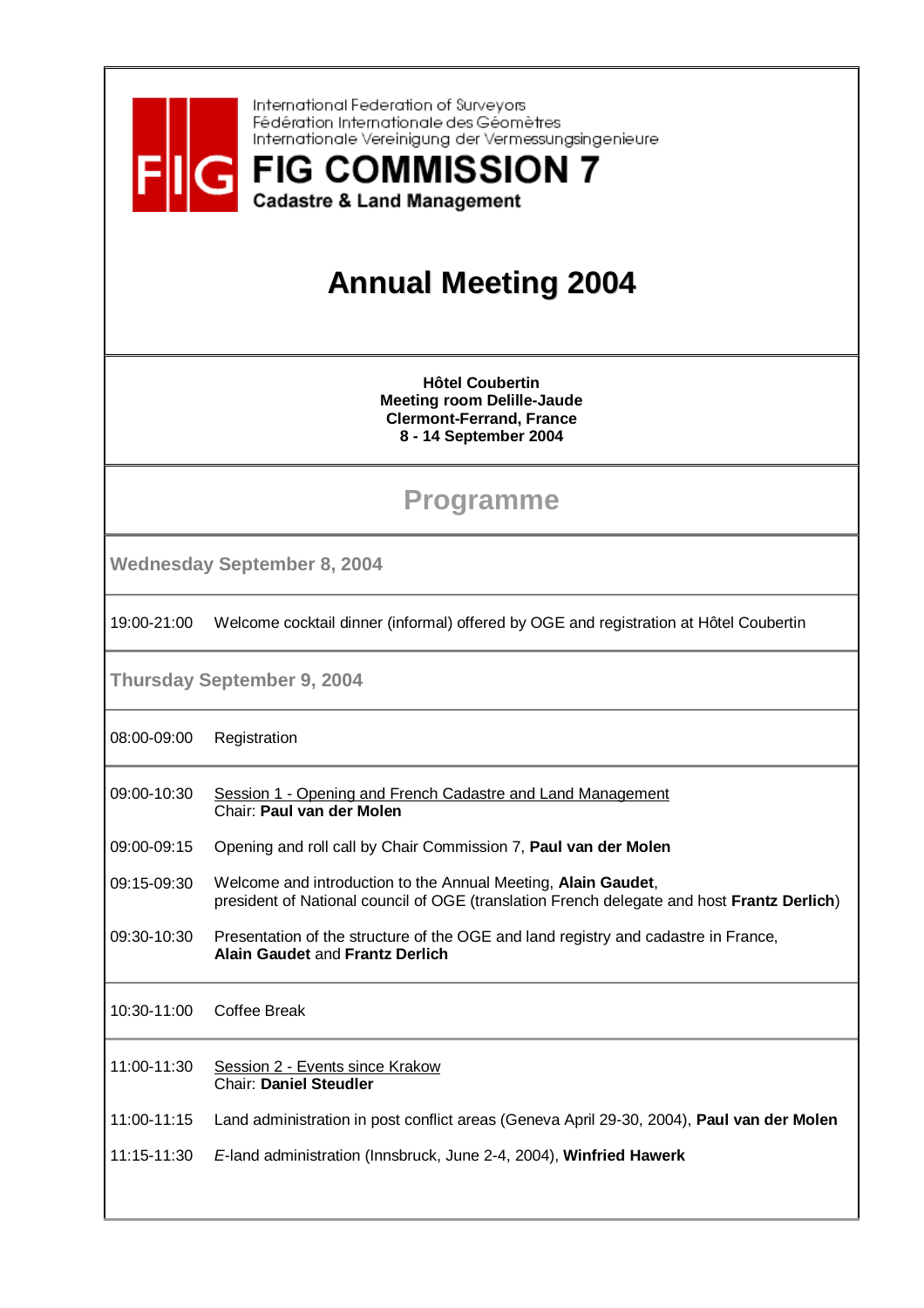

International Federation of Survevors Fédération Internationale des Géomètres Internationale Vereinigung der Vermessungsingenieure

## **FIG COMMISSION 7**

**Cadastre & Land Management** 

## **Annual Meeting 2004**

**Hôtel Coubertin Meeting room Delille-Jaude Clermont-Ferrand, France 8 - 14 September 2004** 

## **Programme**

**Wednesday September 8, 2004** 

19:00-21:00 Welcome cocktail dinner (informal) offered by OGE and registration at Hôtel Coubertin

**Thursday September 9, 2004** 

08:00-09:00 Registration

- 09:00-10:30 Session 1 - Opening and French Cadastre and Land Management Chair: **Paul van der Molen**
- 09:00-09:15 Opening and roll call by Chair Commission 7, **Paul van der Molen**

09:15-09:30 Welcome and introduction to the Annual Meeting, **Alain Gaudet**, president of National council of OGE (translation French delegate and host **Frantz Derlich**)

09:30-10:30 Presentation of the structure of the OGE and land registry and cadastre in France, **Alain Gaudet** and **Frantz Derlich** 

10:30-11:00 Coffee Break

11:00-11:30 Session 2 - Events since Krakow Chair: **Daniel Steudler**

11:00-11:15 Land administration in post conflict areas (Geneva April 29-30, 2004), **Paul van der Molen**

11:15-11:30 E-land administration (Innsbruck, June 2-4, 2004), **Winfried Hawerk**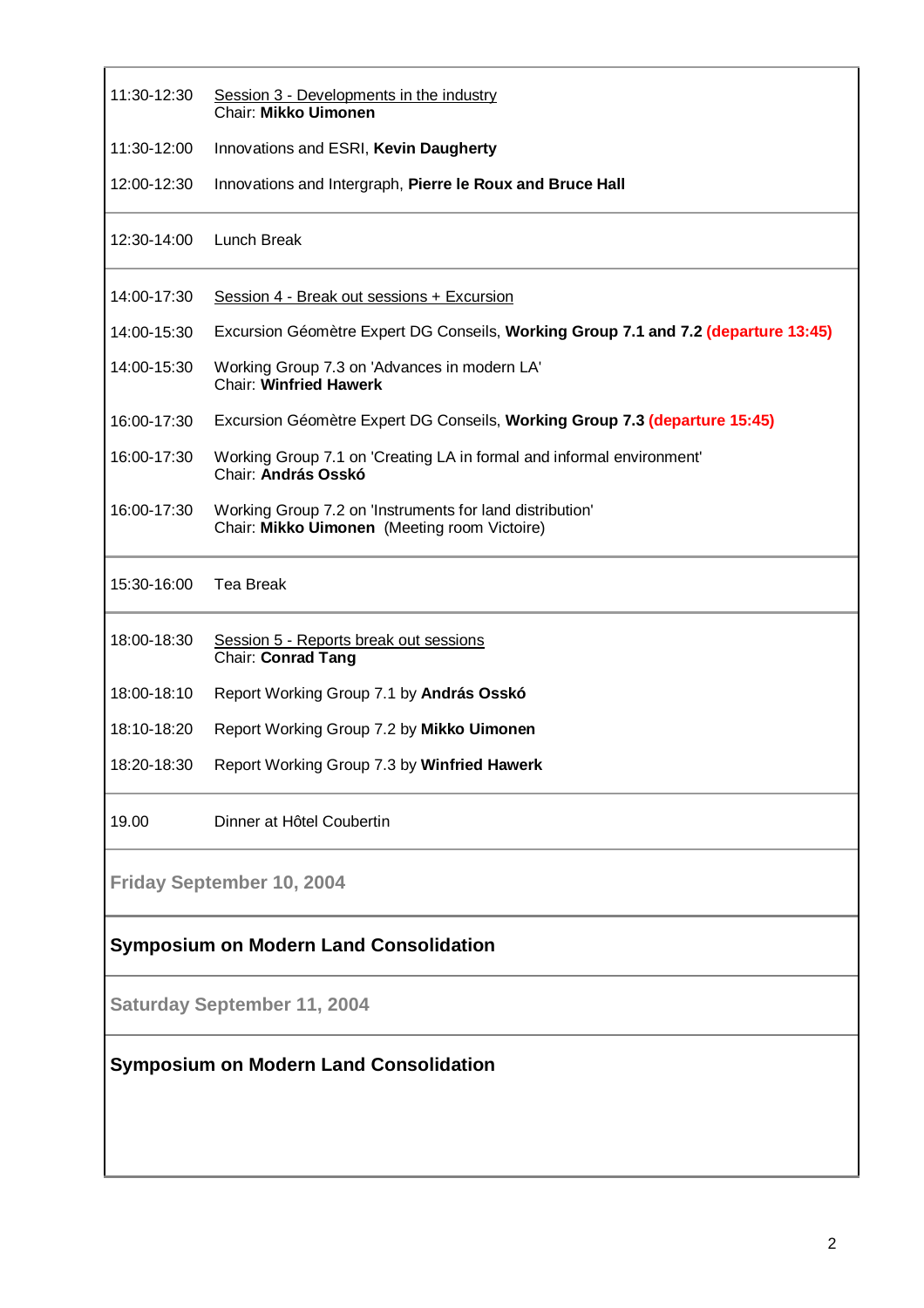| 11:30-12:30                                   | Session 3 - Developments in the industry<br><b>Chair: Mikko Uimonen</b>                                  |  |
|-----------------------------------------------|----------------------------------------------------------------------------------------------------------|--|
| 11:30-12:00                                   | Innovations and ESRI, Kevin Daugherty                                                                    |  |
| 12:00-12:30                                   | Innovations and Intergraph, Pierre le Roux and Bruce Hall                                                |  |
| 12:30-14:00                                   | Lunch Break                                                                                              |  |
| 14:00-17:30                                   | Session 4 - Break out sessions + Excursion                                                               |  |
| 14:00-15:30                                   | Excursion Géomètre Expert DG Conseils, Working Group 7.1 and 7.2 (departure 13:45)                       |  |
| 14:00-15:30                                   | Working Group 7.3 on 'Advances in modern LA'<br><b>Chair: Winfried Hawerk</b>                            |  |
| 16:00-17:30                                   | Excursion Géomètre Expert DG Conseils, Working Group 7.3 (departure 15:45)                               |  |
| 16:00-17:30                                   | Working Group 7.1 on 'Creating LA in formal and informal environment'<br>Chair: András Osskó             |  |
| 16:00-17:30                                   | Working Group 7.2 on 'Instruments for land distribution'<br>Chair: Mikko Uimonen (Meeting room Victoire) |  |
| 15:30-16:00                                   | <b>Tea Break</b>                                                                                         |  |
| 18:00-18:30                                   | Session 5 - Reports break out sessions<br>Chair: Conrad Tang                                             |  |
| 18:00-18:10                                   | Report Working Group 7.1 by András Osskó                                                                 |  |
| 18:10-18:20                                   | Report Working Group 7.2 by Mikko Uimonen                                                                |  |
|                                               | 18:20-18:30 Report Working Group 7.3 by Winfried Hawerk                                                  |  |
| 19.00                                         | Dinner at Hôtel Coubertin                                                                                |  |
| Friday September 10, 2004                     |                                                                                                          |  |
| <b>Symposium on Modern Land Consolidation</b> |                                                                                                          |  |
| <b>Saturday September 11, 2004</b>            |                                                                                                          |  |
| <b>Symposium on Modern Land Consolidation</b> |                                                                                                          |  |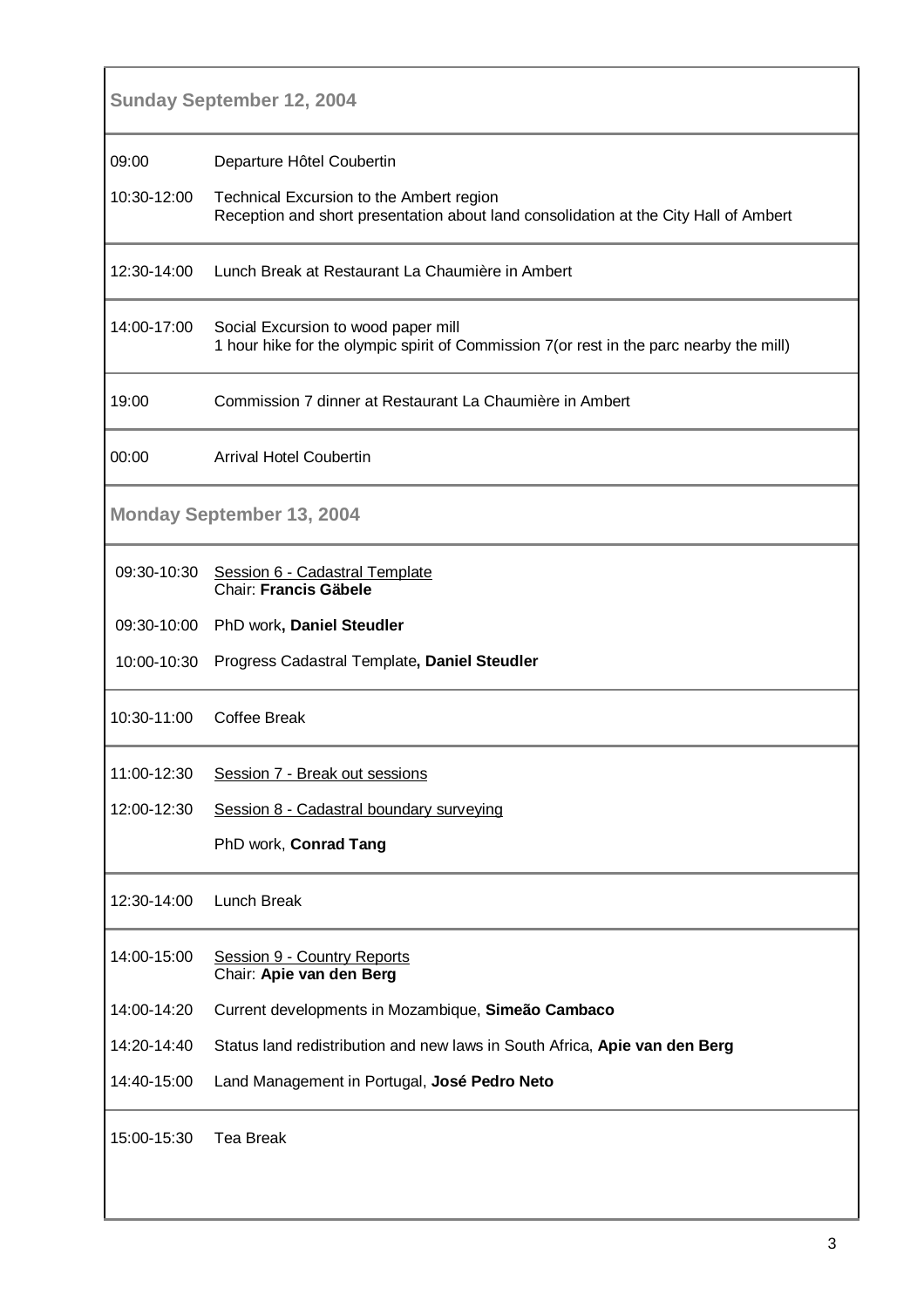| <b>Sunday September 12, 2004</b> |                                                                                                                                  |  |
|----------------------------------|----------------------------------------------------------------------------------------------------------------------------------|--|
| 09:00                            | Departure Hôtel Coubertin                                                                                                        |  |
| 10:30-12:00                      | Technical Excursion to the Ambert region<br>Reception and short presentation about land consolidation at the City Hall of Ambert |  |
| 12:30-14:00                      | Lunch Break at Restaurant La Chaumière in Ambert                                                                                 |  |
| 14:00-17:00                      | Social Excursion to wood paper mill<br>1 hour hike for the olympic spirit of Commission 7(or rest in the parc nearby the mill)   |  |
| 19:00                            | Commission 7 dinner at Restaurant La Chaumière in Ambert                                                                         |  |
| 00:00                            | <b>Arrival Hotel Coubertin</b>                                                                                                   |  |
| <b>Monday September 13, 2004</b> |                                                                                                                                  |  |
| 09:30-10:30                      | Session 6 - Cadastral Template<br>Chair: Francis Gäbele                                                                          |  |
| 09:30-10:00                      | PhD work, Daniel Steudler                                                                                                        |  |
| 10:00-10:30                      | Progress Cadastral Template, Daniel Steudler                                                                                     |  |
| 10:30-11:00                      | <b>Coffee Break</b>                                                                                                              |  |
| 11:00-12:30                      | Session 7 - Break out sessions                                                                                                   |  |
| 12:00-12:30                      | Session 8 - Cadastral boundary surveying                                                                                         |  |
|                                  | PhD work, Conrad Tang                                                                                                            |  |
| 12:30-14:00                      | <b>Lunch Break</b>                                                                                                               |  |
| 14:00-15:00                      | Session 9 - Country Reports<br>Chair: Apie van den Berg                                                                          |  |
| 14:00-14:20                      | Current developments in Mozambique, Simeão Cambaco                                                                               |  |
| 14:20-14:40                      | Status land redistribution and new laws in South Africa, Apie van den Berg                                                       |  |
| 14:40-15:00                      | Land Management in Portugal, José Pedro Neto                                                                                     |  |
| 15:00-15:30                      | <b>Tea Break</b>                                                                                                                 |  |